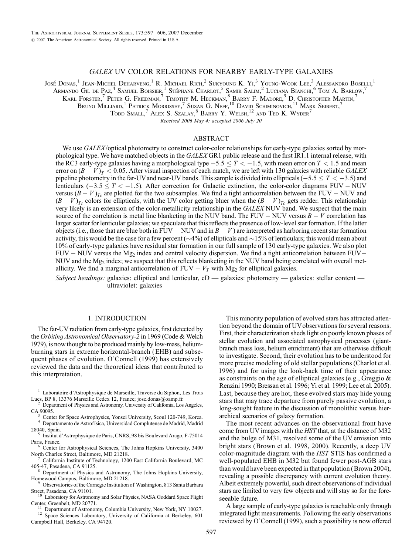# GALEX UV COLOR RELATIONS FOR NEARBY EARLY-TYPE GALAXIES

José Donas, $^1$  Jean-Michel Deharveng, $^1$  R. Michael Rich, $^2$  Sukyoung K. Yi, $^3$  Young-Wook Lee, $^3$  Alessandro Boselli, $^1$ 

Armando Gil de Paz,<sup>4</sup> Samuel Boissier,<sup>1</sup> Stéphane Charlot,<sup>5</sup> Samir Salim,<sup>2</sup> Luciana Bianchi,<sup>6</sup> Tom A. Barlow,<sup>7</sup>

Karl Forster,  $^7$  Peter G. Friedman,  $^7$  Timothy M. Heckman,  $^8$  Barry F. Madore,  $^9$  D. Christopher Martin,  $^7$ 

Bruno Milliard,<sup>1</sup> Patrick Morrissey,<sup>7</sup> Susan G. Neff,<sup>10</sup> David Schiminovich,<sup>11</sup> Mark Seibert,<sup>7</sup>

 $\text{Top}$  Small,  $^7$  Alex S. Szalay,  $^8$  Barry Y. Welsh,  $^{12}$  and Ted K. Wyder<sup>7</sup>

Received 2006 May 4; accepted 2006 July 20

# ABSTRACT

We use GALEX/optical photometry to construct color-color relationships for early-type galaxies sorted by morphological type. We have matched objects in the GALEX GR1 public release and the first IR1.1 internal release, with the RC3 early-type galaxies having a morphological type  $-5.5 \le T < -1.5$ , with mean error on  $T < 1.5$  and mean error on  $(B - V)_T < 0.05$ . After visual inspection of each match, we are left with 130 galaxies with reliable GALEX pipeline photometry in the far-UV and near-UV bands. This sample is divided into ellipticals ( $-5.5 \le T < -3.5$ ) and lenticulars  $(-3.5 \le T < -1.5)$ . After correction for Galactic extinction, the color-color diagrams FUV – NUV versus  $(B - V)_{T_c}$  are plotted for the two subsamples. We find a tight anticorrelation between the FUV – NUV and  $(B-V)_{T_c}$  colors for ellipticals, with the UV color getting bluer when the  $(B-V)_{T_c}$  gets redder. This relationship very likely is an extension of the color-metallicity relationship in the GALEX NUV band. We suspect that the main source of the correlation is metal line blanketing in the NUV band. The FUV  $-$  NUV versus  $B - V$  correlation has larger scatter for lenticular galaxies; we speculate that this reflects the presence of low-level star formation. If the latter objects (i.e., those that are blue both in FUV – NUV and in  $B - V$ ) are interpreted as harboring recent star formation activity, this would be the case for a few percent ( $\sim$ 4%) of ellipticals and  $\sim$ 15% of lenticulars; this would mean about 10% of early-type galaxies have residual star formation in our full sample of 130 early-type galaxies. We also plot  $FUV - NUV$  versus the Mg<sub>2</sub> index and central velocity dispersion. We find a tight anticorrelation between  $FUV -$ NUV and the  $Mg_2$  index; we suspect that this reflects blanketing in the NUV band being correlated with overall metallicity. We find a marginal anticorrelation of  $FUV - V_T$  with Mg<sub>2</sub> for elliptical galaxies.

Subject headings: galaxies: elliptical and lenticular,  $cD$  — galaxies: photometry — galaxies: stellar content ultraviolet: galaxies

## 1. INTRODUCTION

The far-UV radiation from early-type galaxies, first detected by the Orbiting Astronomical Observatory-2 in 1969 (Code & Welch 1979), is now thought to be produced mainly by low-mass, heliumburning stars in extreme horizontal-branch (EHB) and subsequent phases of evolution. O'Connell (1999) has extensively reviewed the data and the theoretical ideas that contributed to this interpretation.

<sup>1</sup> Laboratoire d'Astrophysique de Marseille, Traverse du Siphon, Les Trois

Lucs, BP 8, 13376 Marseille Cedex 12, France; jose.donas@oamp.fr.<br><sup>2</sup> Department of Physics and Astronomy, University of California, Los Angeles, CA 90095.

<sup>3</sup> Center for Space Astrophysics, Yonsei University, Seoul 120-749, Korea.<br>
<sup>4</sup> Departamento de Astrofísica, Universidad Complutense de Madrid, Madrid<br>
<sup>5</sup> Inctitut d'Astrophysique de Berie GNBS, 08 bie Boulayard Arece,

Institut d'Astrophysique de Paris, CNRS, 98 bis Boulevard Arago, F-75014

Paris, France.<br><sup>6</sup> Center for Astrophysical Sciences, The Johns Hopkins University, 3400

North Charles Street, Baltimore, MD 21218.<br><sup>7</sup> California Institute of Technology, 1200 East California Boulevard, MC<br>405-47, Pasadena, CA 91125.

Department of Physics and Astronomy, The Johns Hopkins University, Homewood Campus, Baltimore, MD 21218. <sup>9</sup> Observatories of the Carnegie Institution of Washington, 813 Santa Barbara

Street, Pasadena, CA 91101.<br><sup>10</sup> Laboratory for Astronomy and Solar Physics, NASA Goddard Space Flight<br>Center, Greenbelt, MD 20771.

<sup>11</sup> Department of Astronomy, Columbia University, New York, NY 10027.<br><sup>12</sup> Space Sciences Laboratory, University of California at Berkeley, 601

Campbell Hall, Berkeley, CA 94720.

This minority population of evolved stars has attracted attention beyond the domain of UVobservations for several reasons. First, their characterization sheds light on poorly known phases of stellar evolution and associated astrophysical processes (giantbranch mass loss, helium enrichment) that are otherwise difficult to investigate. Second, their evolution has to be understood for more precise modeling of old stellar populations (Charlot et al. 1996) and for using the look-back time of their appearance as constraints on the age of elliptical galaxies (e.g., Greggio & Renzini 1990; Bressan et al. 1996; Yi et al. 1999; Lee et al. 2005). Last, because they are hot, these evolved stars may hide young stars that may trace departure from purely passive evolution, a long-sought feature in the discussion of monolithic versus hierarchical scenarios of galaxy formation.

The most recent advances on the observational front have come from UV images with the HST that, at the distance of M32 and the bulge of M31, resolved some of the UV emission into bright stars (Brown et al. 1998, 2000). Recently, a deep UV color-magnitude diagram with the HST STIS has confirmed a well-populated EHB in M32 but found fewer post-AGB stars than would have been expected in that population (Brown 2004), revealing a possible discrepancy with current evolution theory. Albeit extremely powerful, such direct observations of individual stars are limited to very few objects and will stay so for the foreseeable future.

A large sample of early-type galaxies is reachable only through integrated light measurements. Following the early observations reviewed by O'Connell (1999), such a possibility is now offered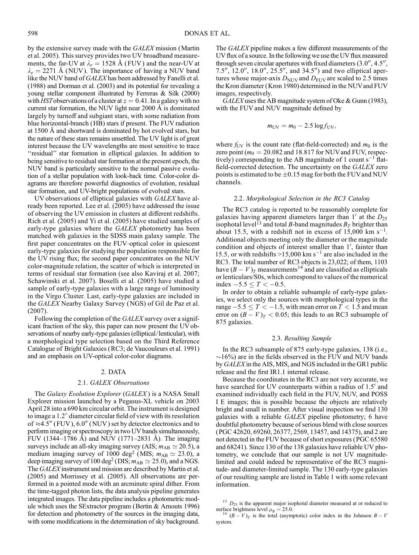by the extensive survey made with the GALEX mission (Martin et al. 2005). This survey provides two UV broadband measurements, the far-UV at  $\lambda_e = 1528$  Å (FUV) and the near-UV at  $\lambda_e = 2271$  Å (NUV). The importance of having a NUV band like the NUV band of GALEX has been addressed by Fanelli et al. (1988) and Dorman et al. (2003) and its potential for revealing a young stellar component illustrated by Ferreras & Silk (2000) with HST observations of a cluster at  $z = 0.41$ . In a galaxy with no current star formation, the NUV light near 2000 Å is dominated largely by turnoff and subgiant stars, with some radiation from blue horizontal-branch (HB) stars if present. The FUV radiation at 1500 Å and shortward is dominated by hot evolved stars, but the nature of these stars remains unsettled. The UV light is of great interest because the UV wavelengths are most sensitive to trace "residual" star formation in elliptical galaxies. In addition to being sensitive to residual star formation at the present epoch, the NUV band is particularly sensitive to the normal passive evolution of a stellar population with look-back time. Color-color diagrams are therefore powerful diagnostics of evolution, residual star formation, and UV-bright populations of evolved stars.

UV observations of elliptical galaxies with GALEX have already been reported. Lee et al. (2005) have addressed the issue of observing the UV emission in clusters at different redshifts. Rich et al. (2005) and Yi et al. (2005) have studied samples of early-type galaxies where the GALEX photometry has been matched with galaxies in the SDSS main galaxy sample. The first paper concentrates on the FUV-optical color in quiescent early-type galaxies for studying the population responsible for the UV rising flux; the second paper concentrates on the NUV color-magnitude relation, the scatter of which is interpreted in terms of residual star formation (see also Kaviraj et al. 2007; Schawinski et al. 2007). Boselli et al. (2005) have studied a sample of early-type galaxies with a large range of luminosity in the Virgo Cluster. Last, early-type galaxies are included in the GALEX Nearby Galaxy Survey (NGS) of Gil de Paz et al. (2007).

Following the completion of the GALEX survey over a significant fraction of the sky, this paper can now present the UV observations of nearby early-type galaxies (elliptical/lenticular), with a morphological type selection based on the Third Reference Catalogue of Bright Galaxies (RC3; de Vaucouleurs et al. 1991) and an emphasis on UV-optical color-color diagrams.

### 2. DATA

### 2.1. GALEX Observations

The Galaxy Evolution Explorer (GALEX) is a NASA Small Explorer mission launched by a Pegasus-XL vehicle on 2003 April 28 into a 690 km circular orbit. The instrument is designed to image a  $1.2^{\circ}$  diameter circular field of view with its resolution of  $\approx$ 4.5" (FUV), 6.0" (NUV) set by detector electronics and to perform imaging or spectroscopy in two UV bands simultaneously, FUV (1344–1786 Å) and NUV (1771–2831 Å). The imaging surveys include an all-sky imaging survey (AIS;  $m_{AB} \simeq 20.5$ ), a medium imaging survey of 1000 deg<sup>2</sup> (MIS;  $m_{AB} \simeq 23.0$ ), a deep imaging survey of 100 deg<sup>2</sup> (DIS;  $m_{AB} \simeq 25.0$ ), and a NGS. The *GALEX* instrument and mission are described by Martin et al. (2005) and Morrissey et al. (2005). All observations are performed in a pointed mode with an arcminute spiral dither. From the time-tagged photon lists, the data analysis pipeline generates integrated images. The data pipeline includes a photometric module which uses the SExtractor program (Bertin & Arnouts 1996) for detection and photometry of the sources in the imaging data, with some modifications in the determination of sky background.

The GALEX pipeline makes a few different measurements of the UV flux of a source. In the following we use the UV flux measured through seven circular apertures with fixed diameters  $(3.0'', 4.5'',$ 7.5", 12.0", 18.0", 25.5", and 34.5") and two elliptical apertures whose major-axis  $D_{\text{NUV}}$  and  $D_{\text{FUV}}$  are scaled to 2.5 times the Kron diameter (Kron 1980) determined in the NUVand FUV images, respectively.

 $GALEX$  uses the AB magnitude system of Oke & Gunn (1983), with the FUV and NUV magnitude defined by

$$
m_{\rm UV}=m_0-2.5\,\log f_{\rm UV},
$$

where  $f_{UV}$  is the count rate (flat-field-corrected) and  $m_0$  is the zero point ( $m_0 = 20.082$  and 18.817 for NUV and FUV, respectively) corresponding to the AB magnitude of 1 count  $s^{-1}$  flatfield-corrected detection. The uncertainty on the GALEX zero points is estimated to be  $\pm 0.15$  mag for both the FUV and NUV channels.

### 2.2. Morphological Selection in the RC3 Catalog

The RC3 catalog is reported to be reasonably complete for galaxies having apparent diameters larger than  $1'$  at the  $D_{25}$ isophotal level<sup>13</sup> and total B-band magnitudes  $B_T$  brighter than about 15.5, with a redshift not in excess of 15,000 km s<sup>-1</sup>. Additional objects meeting only the diameter or the magnitude condition and objects of interest smaller than 1', fainter than 15.5, or with redshifts  $>15,000$  km s<sup>-1</sup> are also included in the RC3. The total number of RC3 objects is 23,022; of them, 1103 have  $(B - V)_T$  measurements<sup>14</sup> and are classified as ellipticals or lenticulars/S0s, which correspond to values of the numerical index  $-5.5 \le T < -0.5$ .

In order to obtain a reliable subsample of early-type galaxies, we select only the sources with morphological types in the range  $-5.5 \leq T < -1.5$ , with mean error on  $T < 1.5$  and mean error on  $(B - V)<sub>T</sub> < 0.05$ ; this leads to an RC3 subsample of 875 galaxies.

## 2.3. Resulting Sample

In the RC3 subsample of 875 early-type galaxies, 138 (i.e.,  $\sim$ 16%) are in the fields observed in the FUV and NUV bands by GALEX in the AIS, MIS, and NGS included in the GR1 public release and the first IR1.1 internal release.

Because the coordinates in the RC3 are not very accurate, we have searched for UV counterparts within a radius of 1.5' and examined individually each field in the FUV, NUV, and POSS I E images; this is possible because the objects are relatively bright and small in number. After visual inspection we find 130 galaxies with a reliable GALEX pipeline photometry; 6 have doubtful photometry because of serious blend with close sources (PGC 42620, 69260, 26377, 2569, 13457, and 14375), and 2 are not detected in the FUV because of short exposures (PGC 65580 and 68241). Since 130 of the 138 galaxies have reliable UV photometry, we conclude that our sample is not UV magnitudelimited and could indeed be representative of the RC3 magnitude- and diameter-limited sample. The 130 early-type galaxies of our resulting sample are listed in Table 1 with some relevant information.

 $13$   $D_{25}$  is the apparent major isophotal diameter measured at or reduced to surface brightness level  $\mu_B = 25.0$ .<br><sup>14</sup>  $(B - V)_T$  is the total (asymptotic) color index in the Johnson  $B - V$ 

system.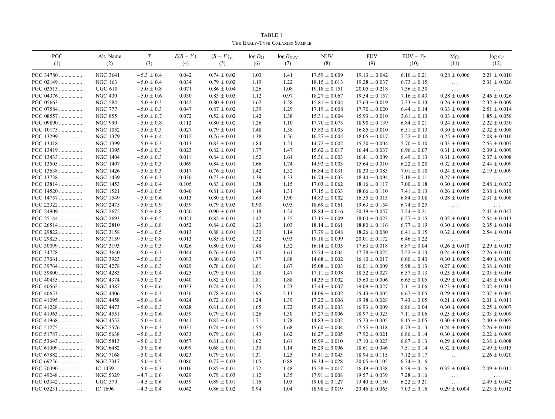| <b>PGC</b><br>(1)      | Alt. Name<br>(2)                   | T<br>(3)                         | $E(B-V)$<br>(4) | $(B-V)_{Tc}$<br>(5)                | $\log D_{25}$<br>(6) | $\log D_{\text{NUV}}$<br>(7) | <b>NUV</b><br>(8)                      | <b>FUV</b><br>(9)                      | $FUV - V_T$<br>(10)                | Mg <sub>2</sub><br>(11)              | $\log \sigma_V$<br>(12)              |
|------------------------|------------------------------------|----------------------------------|-----------------|------------------------------------|----------------------|------------------------------|----------------------------------------|----------------------------------------|------------------------------------|--------------------------------------|--------------------------------------|
| PGC 34780              | <b>NGC 3641</b>                    | $-5.3 \pm 0.4$                   | 0.042           | $0.74 \pm 0.02$                    | 1.03                 | 1.41                         | $17.59 \pm 0.009$                      | $19.13 \pm 0.042$                      | $6.10 \pm 0.21$                    | $0.28 \pm 0.006$                     | $2.21 \pm 0.010$                     |
| PGC 02149              | <b>NGC 163</b>                     | $-5.0 \pm 0.4$                   | 0.034           | $0.79 \pm 0.02$                    | 1.19                 | 1.22                         | $18.15 \pm 0.013$                      | $19.28 \pm 0.037$                      | $6.73 \pm 0.15$                    | $\ldots$                             | $2.31 \pm 0.026$                     |
| PGC 03513              | <b>UGC 610</b>                     | $-5.0 \pm 0.8$                   | 0.071           | $0.86 \pm 0.04$                    | 1.26                 | 1.08                         | $19.18 \pm 0.151$                      | $20.05 \pm 0.218$                      | $7.36 \pm 0.30$                    | $\ldots$ .                           | $\ldots$                             |
| PGC 04376              | <b>NGC 430</b>                     | $-5.0 \pm 0.6$                   | 0.030           | $0.83 \pm 0.03$                    | 1.12                 | 0.97                         | $18.27 \pm 0.067$                      | $19.54 \pm 0.157$                      | $7.16 \pm 0.43$                    | $0.28 \pm 0.009$                     | $2.46 \pm 0.026$                     |
| PGC 05663              | <b>NGC 584</b>                     | $-5.0 \pm 0.3$                   | 0.042           | $0.80 \pm 0.01$                    | 1.62                 | 1.58                         | $15.81 \pm 0.004$                      | $17.63 \pm 0.019$                      | $7.33 \pm 0.13$                    | $0.26 \pm 0.003$                     | $2.32 \pm 0.009$                     |
| PGC 07584              | <b>NGC 777</b>                     | $-5.0 \pm 0.3$                   | 0.047           | $0.87 \pm 0.02$                    | 1.39                 | 1.29                         | $17.19 \pm 0.008$                      | $17.70 \pm 0.020$                      | $6.44 \pm 0.14$                    | $0.33 \pm 0.008$                     | $2.51 \pm 0.014$                     |
| PGC 08557              | <b>NGC 855</b>                     | $-5.0 \pm 0.7$                   | 0.072           | $0.52 \pm 0.02$                    | 1.42                 | 1.38                         | $15.31 \pm 0.004$                      | $15.93\pm0.010$                        | $3.61 \pm 0.13$                    | $0.03 \pm 0.008$                     | $1.85 \pm 0.058$                     |
| PGC 09890              | <b>NGC 990</b>                     | $-5.0 \pm 0.8$                   | 0.112           | $0.80 \pm 0.02$                    | 1.26                 | 1.10                         | $17.70 \pm 0.073$                      | $18.90 \pm 0.139$                      | $6.84 \pm 0.21$                    | $0.24 \pm 0.005$                     | $2.22 \pm 0.030$                     |
| PGC 10175              | NGC 1052                           | $-5.0 \pm 0.3$                   | 0.027           | $0.79 \pm 0.01$                    | 1.48                 | 1.58                         | $15.83 \pm 0.003$                      | $16.85 \pm 0.010$                      | $6.51 \pm 0.13$                    | $0.30 \pm 0.005$                     | $2.32 \pm 0.008$                     |
| PGC 13299              | NGC 1379                           | $-5.0 \pm 0.4$                   | 0.012           | $0.76 \pm 0.01$                    | 1.38                 | 1.56                         | $16.27 \pm 0.004$                      | $18.05 \pm 0.017$                      | $7.22 \pm 0.10$                    | $0.25 \pm 0.003$                     | $2.08 \pm 0.010$                     |
| PGC 13418              | <b>NGC 1399</b>                    | $-5.0 \pm 0.3$                   | 0.013           | $0.83 \pm 0.01$                    | 1.84                 | 1.51                         | $14.72 \pm 0.002$                      | $15.20 \pm 0.004$                      | $5.70 \pm 0.10$                    | $0.33 \pm 0.003$                     | $2.53 \pm 0.007$                     |
| PGC 13419              | NGC 1395                           | $-5.0 \pm 0.3$                   | 0.023           | $0.82 \pm 0.01$                    | 1.77                 | 1.47                         | $15.62 \pm 0.017$                      | $16.44 \pm 0.037$                      | $6.96 \pm 0.07$                    | $0.31 \pm 0.003$                     | $2.39 \pm 0.009$                     |
| PGC 13433              | <b>NGC 1404</b>                    | $-5.0 \pm 0.3$                   | 0.011           | $0.84 \pm 0.01$                    | 1.52                 | 1.61                         | $15.36 \pm 0.003$                      | $16.41 \pm 0.009$                      | $6.49 \pm 0.13$                    | $0.31 \pm 0.003$                     | $2.37 \pm 0.008$                     |
| PGC 13505              | NGC 1407                           | $-5.0 \pm 0.3$                   | 0.069           | $0.84 \pm 0.01$                    | 1.66                 | 1.74                         | $14.93 \pm 0.003$                      | $15.64 \pm 0.010$                      | $6.22 \pm 0.20$                    | $0.32 \pm 0.004$                     | $2.44 \pm 0.009$                     |
| PGC 13638              | <b>NGC 1426</b>                    | $-5.0 \pm 0.3$                   | 0.017           | $0.76 \pm 0.01$                    | 1.42                 | 1.32                         | $16.84 \pm 0.031$                      | $18.30 \pm 0.083$                      | $7.01 \pm 0.10$                    | $0.24 \pm 0.006$                     | $2.19 \pm 0.009$                     |
| PGC 13738              | NGC 1439                           | $-5.0 \pm 0.3$                   | 0.030           | $0.73 \pm 0.01$                    | 1.39                 | 1.33                         | $16.74 \pm 0.033$                      | $18.44 \pm 0.094$                      | $7.18 \pm 0.11$                    | $0.27 \pm 0.009$                     | $\ldots$                             |
| PGC 13814              | <b>NGC 1453</b>                    | $-5.0 \pm 0.4$                   | 0.105           | $0.83 \pm 0.01$                    | 1.38                 | 1.15                         | $17.03 \pm 0.062$                      | $18.16 \pm 0.117$                      | $7.00 \pm 0.18$                    | $0.30 \pm 0.004$                     | $2.48 \pm 0.032$                     |
| PGC 14520              | NGC 1521                           | $-5.0 \pm 0.5$                   | 0.040           | $0.81 \pm 0.01$                    | 1.44                 | 1.31                         | $17.15 \pm 0.033$                      | $18.66 \pm 0.110$                      | $7.41 \pm 0.13$                    | $0.26 \pm 0.005$                     | $2.38 \pm 0.019$                     |
| PGC 14757              | <b>NGC 1549</b>                    | $-5.0 \pm 0.6$                   | 0.013           | $0.80 \pm 0.01$                    | 1.69                 | 1.90                         | $14.83 \pm 0.002$                      | $16.55 \pm 0.013$                      | $6.84 \pm 0.08$                    | $0.28 \pm 0.016$                     | $2.31 \pm 0.008$                     |
| PGC 22322              | NGC 2475                           | $-5.0 \pm 0.9$                   | 0.039           | $0.79 \pm 0.03$                    | 0.90                 | 0.95                         | $18.69 \pm 0.061$                      | $19.63 \pm 0.154$                      | $6.74 \pm 0.25$                    | $\ldots$                             | $\ldots$                             |
| PGC 24909              | NGC 2675                           | $-5.0 \pm 0.8$                   | 0.020           | $0.90 \pm 0.03$                    | 1.18                 | 1.24                         | $18.84 \pm 0.016$                      | $20.39 \pm 0.057$                      | $7.24 \pm 0.21$                    | $\ldots$                             | $2.41 \pm 0.047$                     |
| PGC 25144              | <b>NGC 2693</b>                    | $-5.0 \pm 0.5$                   | 0.021           | $0.82 \pm 0.01$                    | 1.42                 | 1.35                         | $17.15 \pm 0.009$                      | $18.04 \pm 0.023$                      | $6.27 \pm 0.15$                    | $0.32 \pm 0.004$                     | $2.54 \pm 0.013$                     |
| PGC 26514              | <b>NGC 2810</b>                    | $-5.0 \pm 0.8$                   | 0.052           | $0.84 \pm 0.02$                    | 1.23                 | 1.03                         | $18.14 \pm 0.061$                      | $18.80 \pm 0.116$                      | $6.77 \pm 0.19$                    | $0.30 \pm 0.006$                     | $2.35 \pm 0.014$                     |
| PGC 29822              | NGC 3158                           | $-5.0 \pm 0.5$                   | 0.013           | $0.88 \pm 0.01$                    | 1.30                 | 1.14                         | $17.79 \pm 0.048$                      | $18.26 \pm 0.080$                      | $6.41 \pm 0.15$                    | $0.32 \pm 0.004$                     | $2.54 \pm 0.014$                     |
| PGC 29825              | NGC 3159                           | $-5.0 \pm 0.8$                   | 0.013           | $0.85 \pm 0.02$                    | 1.32                 | 0.93                         | $19.18 \pm 0.099$                      | $20.01\pm0.172$                        | $6.46 \pm 0.22$                    | $\ldots$                             |                                      |
| PGC 30099              | NGC 3193                           | $-5.0 \pm 0.3$                   | 0.026           | $0.80 \pm 0.01$                    | 1.48                 | 1.52                         | $16.14 \pm 0.005$                      | $17.63 \pm 0.018$                      | $6.87 \pm 0.04$                    | $0.26 \pm 0.010$                     | $\ldots$<br>$2.29 \pm 0.013$         |
| PGC 34778              | NGC 3640                           | $-5.0 \pm 0.3$                   | 0.044           | $0.76 \pm 0.01$                    | 1.60                 | 1.61                         | $15.74 \pm 0.004$                      | $17.78 \pm 0.022$                      | $7.52 \pm 0.13$                    | $0.24 \pm 0.005$                     | $2.26 \pm 0.010$                     |
| PGC 37061              | NGC 3923                           | $-5.0 \pm 0.3$                   | 0.083           | $0.80 \pm 0.02$                    | 1.77                 | 1.88                         | $14.68 \pm 0.002$                      | $16.10 \pm 0.017$                      | $6.60 \pm 0.40$                    | $0.30 \pm 0.005$                     | $2.40 \pm 0.010$                     |
| PGC 39764              | NGC 4278                           | $-5.0 \pm 0.3$                   | 0.029           | $0.78 \pm 0.01$                    | 1.61                 | 1.67                         | $15.08 \pm 0.003$                      | $16.01 \pm 0.009$                      | $5.98 \pm 0.13$                    | $0.27 \pm 0.001$                     | $2.38 \pm 0.010$                     |
| PGC 39800              | NGC 4283                           | $-5.0 \pm 0.4$                   | 0.025           |                                    | 1.18                 | 1.47                         |                                        |                                        | $6.57 \pm 0.13$                    |                                      | $2.05 \pm 0.016$                     |
| PGC 40455              |                                    | $-5.0 \pm 0.3$                   |                 | $0.79 \pm 0.01$                    |                      |                              | $17.11 \pm 0.008$                      | $18.52 \pm 0.027$                      |                                    | $0.25 \pm 0.004$                     |                                      |
|                        | NGC 4374<br><b>NGC 4387</b>        | $-5.0 \pm 0.6$                   | 0.040           | $0.82 \pm 0.01$                    | 1.81<br>1.25         | 1.88                         | $14.35 \pm 0.002$                      | $15.60 \pm 0.006$                      | $6.65 \pm 0.05$                    | $0.29 \pm 0.001$<br>$0.23 \pm 0.004$ | $2.45 \pm 0.004$<br>$2.02 \pm 0.011$ |
| PGC 40562              | <b>NGC 4406</b>                    | $-5.0 \pm 0.3$                   | 0.033           | $0.74 \pm 0.01$                    | 1.95                 | 1.23<br>2.13                 | $17.44 \pm 0.007$                      | $19.09 \pm 0.027$                      | $7.11 \pm 0.06$<br>$6.67 \pm 0.05$ |                                      |                                      |
| PGC 40653<br>PGC 41095 |                                    | $-5.0 \pm 0.4$                   | 0.030<br>0.024  | $0.78 \pm 0.01$                    | 1.24                 | 1.39                         | $14.09 \pm 0.002$                      | $15.43 \pm 0.005$                      |                                    | $0.29 \pm 0.003$                     | $2.37\pm0.005$                       |
|                        | NGC 4458                           |                                  |                 | $0.72 \pm 0.01$                    |                      |                              | $17.22 \pm 0.006$                      | $19.38 \pm 0.028$                      | $7.43 \pm 0.05$                    | $0.21 \pm 0.003$                     | $2.01 \pm 0.011$                     |
| PGC 41228<br>PGC 41963 | <b>NGC 4473</b><br><b>NGC 4551</b> | $-5.0 \pm 0.3$<br>$-5.0 \pm 0.6$ | 0.028<br>0.039  | $0.81 \pm 0.01$<br>$0.79 \pm 0.01$ | 1.65<br>1.26         | 1.72<br>1.30                 | $15.43 \pm 0.003$<br>$17.27 \pm 0.006$ | $16.93 \pm 0.009$<br>$18.97 \pm 0.023$ | $6.86 \pm 0.04$                    | $0.30 \pm 0.004$<br>$0.25 \pm 0.003$ | $2.25 \pm 0.007$<br>$2.03 \pm 0.009$ |
|                        |                                    |                                  |                 |                                    |                      |                              |                                        |                                        | $7.11 \pm 0.06$                    |                                      |                                      |
| PGC 41968              | <b>NGC 4552</b>                    | $-5.0 \pm 0.4$                   | 0.041           | $0.82 \pm 0.01$                    | 1.71                 | 1.78                         | $14.83 \pm 0.002$                      | $15.73 \pm 0.005$                      | $6.15 \pm 0.05$                    | $0.30 \pm 0.005$                     | $2.40 \pm 0.005$                     |
| PGC 51275              | <b>NGC 5576</b>                    | $-5.0 \pm 0.3$                   | 0.031           | $0.74 \pm 0.01$                    | 1.55                 | 1.68                         | $15.60 \pm 0.004$                      | $17.55 \pm 0.018$                      | $6.73 \pm 0.13$                    | $0.24 \pm 0.005$                     | $2.26 \pm 0.016$                     |
| PGC 51787              | NGC 5638                           | $-5.0 \pm 0.3$                   | 0.033           | $0.79 \pm 0.01$                    | 1.43                 | 1.62                         | $16.27 \pm 0.005$                      | $17.92 \pm 0.021$                      | $6.86 \pm 0.14$                    | $0.30 \pm 0.004$                     | $2.22 \pm 0.009$                     |
| PGC 53643              | NGC 5813                           | $-5.0 \pm 0.3$                   | 0.057           | $0.81 \pm 0.01$                    | 1.62                 | 1.61                         | $15.99 \pm 0.010$                      | $17.10 \pm 0.023$                      | $6.87 \pm 0.13$                    | $0.29 \pm 0.004$                     | $2.38 \pm 0.008$                     |
| PGC 61009              | NGC 6482                           | $-5.0 \pm 0.6$                   | 0.099           | $0.68 \pm 0.01$                    | 1.30                 | 1.14                         | $16.29 \pm 0.006$                      | $18.61 \pm 0.046$                      | $7.51 \pm 0.14$                    | $0.32 \pm 0.003$                     | $2.49 \pm 0.015$                     |
| PGC 67882              | NGC 7168                           | $-5.0 \pm 0.4$                   | 0.023           | $0.79 \pm 0.01$                    | 1.31                 | 1.25                         | $17.41 \pm 0.043$                      | $18.94 \pm 0.115$                      | $7.12 \pm 0.17$                    | $\ldots$                             | $2.26 \pm 0.020$                     |
| PGC 69256              | NGC 7317                           | $-5.0 \pm 0.5$                   | 0.080           | $0.77 \pm 0.03$                    | 1.05                 | 0.88                         | $19.34 \pm 0.028$                      | $20.05 \pm 0.105$                      | $6.74 \pm 0.16$                    | $\ddots$                             |                                      |
| PGC 70090              | IC 1459                            | $-5.0 \pm 0.3$                   | 0.016           | $0.85 \pm 0.01$                    | 1.72                 | 1.48                         | $15.58 \pm 0.017$                      | $16.49 \pm 0.038$                      | $6.59 \pm 0.16$                    | $0.32 \pm 0.003$                     | $2.49 \pm 0.011$                     |
| PGC 49248              | NGC 5329                           | $-4.7 \pm 0.6$                   | 0.029           | $0.79 \pm 0.03$                    | 1.12                 | 1.35                         | $17.91 \pm 0.008$                      | $19.57 \pm 0.039$                      | $7.28 \pm 0.16$                    |                                      |                                      |
| PGC 03342              | <b>UGC 579</b>                     | $-4.5 \pm 0.6$                   | 0.039           | $0.89 \pm 0.01$                    | 1.16                 | 1.05                         | $19.08 \pm 0.127$                      | $19.40 \pm 0.150$                      | $6.22 \pm 0.21$                    | $\cdots$                             | $2.49 \pm 0.042$                     |
| PGC 05231              | IC 1696                            | $-4.3 \pm 0.4$                   | 0.042           | $0.86 \pm 0.02$                    | 0.94                 | 1.04                         | $18.98 \pm 0.019$                      | $20.46 \pm 0.065$                      | $7.03 \pm 0.16$                    | $0.29 \pm 0.004$                     | $2.23 \pm 0.012$                     |

TABLE 1 The Early-Type Galaxies Sample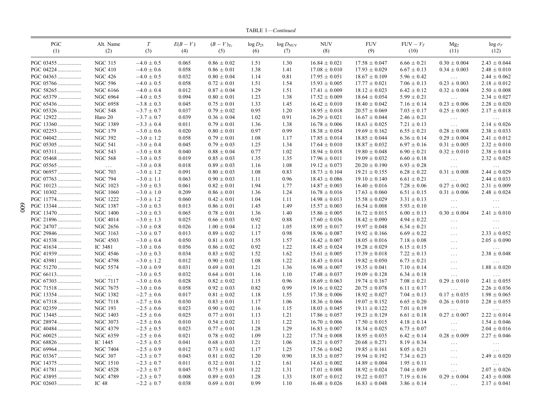TABLE 1—Continued

| PGC                    | Alt. Name       | T                | $E(B-V)$       | $(B-V)_{Tc}$                       | $\log D_{25}$ | $log D_{NUV}$ | <b>NUV</b>        | <b>FUV</b>                             | $FUV - V_T$     | Mg <sub>2</sub>      | $\log \sigma_V$              |
|------------------------|-----------------|------------------|----------------|------------------------------------|---------------|---------------|-------------------|----------------------------------------|-----------------|----------------------|------------------------------|
| (1)                    | (2)             | (3)              | (4)            | (5)                                | (6)           | (7)           | (8)               | (9)                                    | (10)            | (11)                 | (12)                         |
| PGC 03455              | <b>NGC 315</b>  | $-4.0 \pm 0.5$   | 0.065          | $0.86 \pm 0.02$                    | 1.51          | 1.30          | $16.84 \pm 0.021$ | $17.58 \pm 0.047$                      | $6.66 \pm 0.21$ | $0.30 \pm 0.004$     | $2.43 \pm 0.044$             |
| PGC 04224              | <b>NGC 410</b>  | $-4.0 \pm 0.6$   | 0.058          | $0.86 \pm 0.01$                    | 1.38          | 1.41          | $17.08 \pm 0.010$ | $17.93 \pm 0.029$                      | $6.67 \pm 0.13$ | $0.34 \pm 0.003$     | $2.48 \pm 0.010$             |
| PGC 04363              | <b>NGC 426</b>  | $-4.0 \pm 0.5$   | 0.032          | $0.80 \pm 0.04$                    | 1.14          | 0.81          | $17.95 \pm 0.051$ | $18.67 \pm 0.109$                      | $5.96 \pm 0.42$ | $\ldots$             | $2.44 \pm 0.062$             |
| PGC 05766              | <b>NGC 596</b>  | $-4.0 \pm 0.5$   | 0.058          | $0.72 \pm 0.01$                    | 1.51          | 1.54          | $15.93 \pm 0.005$ | $17.77 \pm 0.021$                      | $7.06 \pm 0.13$ | $0.23 \pm 0.003$     | $2.18 \pm 0.012$             |
| PGC 58265              | <b>NGC 6166</b> | $-4.0 \pm 0.4$   | 0.012          | $0.87 \pm 0.04$                    | 1.29          | 1.51          | $17.41 \pm 0.009$ | $18.12 \pm 0.023$                      | $6.42 \pm 0.12$ | $0.32 \pm 0.004$     | $2.50 \pm 0.008$             |
| PGC 65379              | <b>NGC 6964</b> | $-4.0\,\pm\,0.5$ | 0.094          | $0.80 \pm 0.01$                    | 1.23          | 1.38          | $17.52 \pm 0.009$ | $18.64 \pm 0.054$                      | $5.99 \pm 0.21$ | $\ldots$             | $2.34 \pm 0.027$             |
| PGC 65436              | <b>NGC 6958</b> | $-3.8 \pm 0.3$   | 0.045          | $0.75 \pm 0.01$                    | 1.33          | 1.45          | $16.42 \pm 0.010$ | $18.40 \pm 0.042$                      | $7.16 \pm 0.14$ | $0.23 \pm 0.006$     | $2.28 \pm 0.020$             |
| PGC 05326              | <b>NGC 548</b>  | $-3.7 \pm 0.7$   | 0.037          | $0.79 \pm 0.02$                    | 0.95          | 1.20          | $18.95 \pm 0.018$ | $20.57 \pm 0.069$                      | $7.03 \pm 0.17$ | $0.25 \pm 0.005$     | $2.17 \pm 0.018$             |
| PGC 12922              | Haro 20         | $-3.7 \pm 0.7$   | 0.039          | $0.36 \pm 0.04$                    | 1.02          | 0.91          | $16.29 \pm 0.021$ | $16.67 \pm 0.044$                      | $2.46 \pm 0.21$ | $\cdots$             | $\ldots$                     |
| PGC 13360              | <b>NGC 1389</b> | $-3.3 \pm 0.4$   | 0.011          | $0.79 \pm 0.01$                    | 1.36          | 1.38          | $16.78 \pm 0.006$ | $18.63 \pm 0.025$                      | $7.21 \pm 0.13$ | $\ldots$             | $2.14 \pm 0.026$             |
| PGC 02253              | <b>NGC 179</b>  | $-3.0 \pm 0.6$   | 0.020          | $0.80 \pm 0.01$                    | 0.97          | 0.99          | $18.38 \pm 0.054$ | $19.69 \pm 0.162$                      | $6.55 \pm 0.21$ | $0.28 \pm 0.008$     | $2.38 \pm 0.033$             |
| PGC 04042              | <b>NGC 392</b>  | $-3.0 \pm 1.2$   | 0.058          | $0.79 \pm 0.01$                    | 1.08          | 1.17          | $17.85 \pm 0.014$ | $18.85 \pm 0.044$                      | $6.36 \pm 0.14$ | $0.29 \pm 0.004$     | $2.41 \pm 0.012$             |
| PGC 05305              | <b>NGC 541</b>  | $-3.0 \pm 0.4$   | 0.045          | $0.79 \pm 0.03$                    | 1.25          | 1.34          | $17.64 \pm 0.010$ | $18.87 \pm 0.032$                      | $6.97 \pm 0.16$ | $0.31 \pm 0.005$     | $2.32 \pm 0.010$             |
| PGC 05311              | <b>NGC 543</b>  | $-3.0 \pm 0.8$   | 0.040          | $0.88 \pm 0.04$                    | 0.77          | 1.02          | $18.94 \pm 0.018$ | $19.80 \pm 0.048$                      | $6.90 \pm 0.21$ | $0.32 \pm 0.010$     | $2.38 \pm 0.014$             |
| PGC 05468              | <b>NGC 568</b>  | $-3.0 \pm 0.5$   | 0.019          | $0.85 \pm 0.03$                    | 1.35          | 1.35          | $17.96 \pm 0.011$ | $19.09 \pm 0.032$                      | $6.60 \pm 0.18$ | $\ldots$             | $2.32 \pm 0.025$             |
| PGC 05565              | $\sim$ .        | $-3.0 \pm 0.8$   | 0.018          | $0.89 \pm 0.03$                    | 1.16          | 1.08          | $19.12 \pm 0.073$ | $20.20 \pm 0.190$                      | $6.93 \pm 0.28$ | $\ldots$             |                              |
| PGC 06957              | <b>NGC 703</b>  | $-3.0 \pm 1.2$   | 0.091          | $0.80 \pm 0.03$                    | 1.08          | 0.83          | $18.73 \pm 0.104$ | $19.21 \pm 0.155$                      | $6.28 \pm 0.22$ | $0.31 \pm 0.008$     | $\cdots$<br>$2.44 \pm 0.029$ |
| PGC 07763              | <b>NGC 794</b>  | $-3.0 \pm 1.1$   | 0.063          | $0.90 \pm 0.03$                    | 1.11          | 0.96          | $18.43 \pm 0.086$ | $19.10 \pm 0.140$                      | $6.61 \pm 0.21$ | $\ldots$             | $2.44 \pm 0.033$             |
| PGC 10123              | <b>NGC 1023</b> | $-3.0 \pm 0.3$   | 0.061          | $0.82 \pm 0.01$                    | 1.94          | 1.77          | $14.87 \pm 0.003$ | $16.40 \pm 0.016$                      | $7.28 \pm 0.06$ | $0.27 \pm 0.002$     | $2.31 \pm 0.009$             |
| PGC 10302              | <b>NGC 1060</b> | $-3.0 \pm 1.0$   | 0.209          | $0.86 \pm 0.01$                    | 1.36          | 1.24          | $16.78 \pm 0.016$ | $17.63 \pm 0.060$                      | $6.51 \pm 0.15$ | $0.31 \pm 0.006$     | $2.48 \pm 0.024$             |
| PGC 11774              | <b>NGC 1222</b> | $-3.0 \pm 1.2$   | 0.060          | $0.42 \pm 0.01$                    | 1.04          | 1.11          | $14.98 \pm 0.013$ | $15.58 \pm 0.029$                      | $3.31 \pm 0.13$ |                      |                              |
| PGC 13344              | <b>NGC 1387</b> | $-3.0 \pm 0.3$   | 0.013          | $0.86 \pm 0.01$                    | 1.45          | 1.49          | $15.57 \pm 0.003$ | $16.54 \pm 0.008$                      | $5.93 \pm 0.10$ | $\ldots$             | $\ldots$ .                   |
|                        | <b>NGC 1400</b> | $-3.0 \pm 0.3$   |                |                                    |               |               | $15.86 \pm 0.005$ |                                        | $6.00 \pm 0.13$ | $\ldots$             | $\ldots$                     |
| PGC 13470              | <b>UGC 4014</b> | $-3.0 \pm 1.3$   | 0.065          | $0.78 \pm 0.01$<br>$0.66 \pm 0.03$ | 1.36<br>0.92  | 1.40<br>0.88  | $17.60 \pm 0.036$ | $16.72 \pm 0.015$<br>$18.42 \pm 0.090$ | $4.94 \pm 0.22$ | $0.30 \pm 0.004$     | $2.41 \pm 0.010$             |
| PGC 21896<br>PGC 24707 | <b>NGC 2656</b> | $-3.0 \pm 0.8$   | 0.025<br>0.026 | $1.00 \pm 0.04$                    | 1.12          | 1.05          | $18.95 \pm 0.017$ | $19.97 \pm 0.048$                      | $6.34 \pm 0.21$ | $\ldots$             | $\ldots$                     |
|                        |                 |                  |                |                                    |               |               |                   |                                        |                 | $\ldots$             | $\ldots$                     |
| PGC 29846              | <b>NGC 3163</b> | $-3.0 \pm 0.7$   | 0.013          | $0.89 \pm 0.02$                    | 1.17          | 0.98          | $18.96 \pm 0.087$ | $19.92 \pm 0.166$                      | $6.69 \pm 0.22$ | $\ldots$             | $2.33 \pm 0.052$             |
| PGC 41538              | <b>NGC 4503</b> | $-3.0 \pm 0.4$   | 0.050          | $0.81 \pm 0.01$                    | 1.55          | 1.57          | $16.42 \pm 0.007$ | $18.05 \pm 0.016$                      | $7.18 \pm 0.08$ | $\ldots$             | $2.05 \pm 0.090$             |
| PGC 41634              | IC 3481         | $-3.0 \pm 0.6$   | 0.056          | $0.86 \pm 0.02$                    | 0.92          | 1.22          | $18.45 \pm 0.024$ | $19.28 \pm 0.029$                      | $6.15 \pm 0.15$ | $\ldots$             | $\ldots$                     |
| PGC 41939              | <b>NGC 4546</b> | $-3.0 \pm 0.3$   | 0.034          | $0.83 \pm 0.02$                    | 1.52          | 1.62          | $15.61 \pm 0.005$ | $17.39 \pm 0.018$                      | $7.22 \pm 0.13$ | $\ldots$             | $2.38 \pm 0.048$             |
| PGC 43981              | <b>NGC 4798</b> | $-3.0 \pm 1.2$   | 0.012          | $0.90 \pm 0.02$                    | 1.08          | 1.22          | $18.43 \pm 0.014$ | $19.82 \pm 0.050$                      | $6.73 \pm 0.21$ | $\ldots$             | $\ldots$                     |
| PGC 51270              | <b>NGC 5574</b> | $-3.0 \pm 0.9$   | 0.031          | $0.69 \pm 0.01$                    | 1.21          | 1.36          | $16.98\pm0.007$   | $19.35\pm0.041$                        | $7.10 \pm 0.14$ | $\ldots$             | $1.88\,\pm\,0.020$           |
| PGC 66113              | $\ldots$        | $-3.0 \pm 0.5$   | 0.032          | $0.64 \pm 0.01$                    | 1.16          | 1.10          | $17.48 \pm 0.037$ | $19.09 \pm 0.128$                      | $6.34 \pm 0.18$ | $\ldots$             | $\ldots$                     |
| PGC 67303              | <b>NGC 7117</b> | $-3.0 \pm 0.6$   | 0.028          | $0.82 \pm 0.02$                    | 1.15          | 0.96          | $18.69 \pm 0.063$ | $19.74 \pm 0.167$                      | $7.08 \pm 0.21$ | $0.29 \pm 0.010$     | $2.41 \pm 0.055$             |
| PGC 71518              | <b>NGC 7675</b> | $-3.0 \pm 0.6$   | 0.058          | $0.92 \pm 0.03$                    | 0.82          | 0.99          | $19.16 \pm 0.022$ | $20.75 \pm 0.078$                      | $6.11 \pm 0.17$ | $\ldots$             | $2.26 \pm 0.036$             |
| PGC 13354              | <b>NGC 1382</b> | $-2.7 \pm 0.6$   | 0.017          | $0.81 \pm 0.02$                    | 1.18          | 1.55          | $17.38 \pm 0.006$ | $18.92 \pm 0.027$                      | $7.04 \pm 0.13$ | $0.17 \pm 0.035$     | $1.98\pm0.065$               |
| PGC 67318              | <b>NGC 7118</b> | $-2.7 \pm 0.6$   | 0.030          | $0.83 \pm 0.01$                    | 1.17          | 1.06          | $18.36 \pm 0.066$ | $19.07 \pm 0.152$                      | $6.65 \pm 0.20$ | $0.26 \pm 0.010$     | $2.28 \pm 0.055$             |
| PGC 02359              | <b>NGC 193</b>  | $-2.5 \pm 0.6$   | 0.023          | $0.90 \pm 0.02$                    | 1.16          | 1.15          | $18.03 \pm 0.045$ | $19.11 \pm 0.122$                      | $7.01 \pm 0.19$ | $\sim$ $\sim$ $\sim$ | $\cdots$                     |
| PGC 13445              | <b>NGC 1403</b> | $-2.5\pm0.6$     | 0.025          | $0.77 \pm 0.01$                    | 1.13          | 1.21          | $17.86 \pm 0.057$ | $19.23 \pm 0.129$                      | $6.61 \pm 0.18$ | $0.27 \pm 0.007$     | $2.22 \pm 0.014$             |
| PGC 28974              | <b>NGC 3073</b> | $-2.5 \pm 0.6$   | 0.010          | $0.54 \pm 0.02$                    | 1.11          | 1.22          | $16.70 \pm 0.006$ | $17.50 \pm 0.015$                      | $4.18 \pm 0.14$ | $\ldots$             | $1.54 \pm 0.046$             |
| PGC 40484              | <b>NGC 4379</b> | $-2.5 \pm 0.5$   | 0.023          | $0.77 \pm 0.01$                    | 1.28          | 1.29          | $16.83 \pm 0.007$ | $18.34 \pm 0.025$                      | $6.73 \pm 0.07$ | $\ldots$             | $2.04 \pm 0.016$             |
| PGC 60025              | <b>NGC 6359</b> | $-2.5 \pm 0.6$   | 0.021          | $0.78 \pm 0.02$                    | 1.09          | 1.22          | $17.74 \pm 0.008$ | $18.95 \pm 0.035$                      | $6.42 \pm 0.14$ | $0.28\,\pm\,0.009$   | $2.27 \pm 0.046$             |
| PGC 68826              | IC 1445         | $-2.5 \pm 0.5$   | 0.041          | $0.68 \pm 0.03$                    | 1.21          | 1.06          | $18.21 \pm 0.057$ | $20.68 \pm 0.271$                      | $8.19 \pm 0.34$ | $\ldots$             | $\ldots$                     |
| PGC 69964              | <b>NGC 7404</b> | $-2.5 \pm 0.9$   | 0.012          | $0.73 \pm 0.02$                    | 1.17          | 1.25          | $17.56 \pm 0.042$ | $19.85 \pm 0.161$                      | $8.05 \pm 0.21$ | $\ldots$             | $\ldots$ .                   |
| PGC 03367              | <b>NGC 307</b>  | $-2.3 \pm 0.7$   | 0.043          | $0.81 \pm 0.02$                    | 1.20          | 0.90          | $18.33 \pm 0.057$ | $19.94 \pm 0.192$                      | $7.34 \pm 0.23$ | $\ldots$             | $2.49 \pm 0.020$             |
| PGC 14375              | <b>NGC 1510</b> | $-2.3 \pm 0.7$   | 0.011          | $0.32 \pm 0.01$                    | 1.12          | 1.61          | $14.63 \pm 0.002$ | $14.89 \pm 0.004$                      | $1.95 \pm 0.11$ | $\ldots$             | $\ldots$                     |
| PGC 41781              | <b>NGC 4528</b> | $-2.3 \pm 0.7$   | 0.045          | $0.75 \pm 0.01$                    | 1.22          | 1.31          | $17.01 \pm 0.008$ | $18.92 \pm 0.024$                      | $7.04 \pm 0.09$ | $\ldots$             | $2.07\pm0.026$               |
| PGC 43895              | <b>NGC 4789</b> | $-2.3 \pm 0.7$   | 0.008          | $0.89 \pm 0.03$                    | 1.28          | 1.33          | $18.07 \pm 0.012$ | $19.22 \pm 0.037$                      | $7.19 \pm 0.16$ | $0.29 \pm 0.004$     | $2.43 \pm 0.008$             |
| PGC 02603              | <b>IC 48</b>    | $-2.2 \pm 0.7$   | 0.038          | $0.69 \pm 0.01$                    | 0.99          | 1.10          | $16.48 \pm 0.026$ | $16.83 \pm 0.048$                      | $3.86 \pm 0.14$ | $\ldots$             | $2.17 \pm 0.041$             |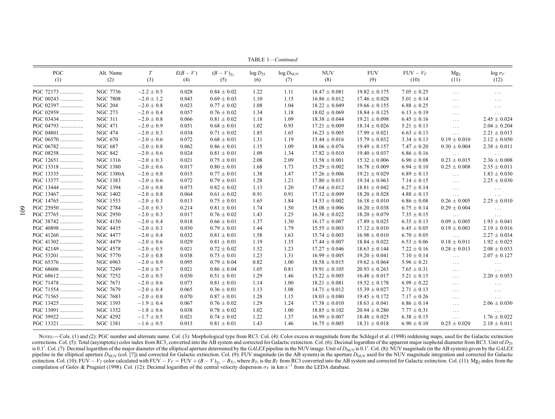| PGC       | Alt. Name        | T              | $E(B-V)$ | $(B-V)_{Tc}$    | $\log D_{25}$ | $log D_{NUV}$ | <b>NUV</b>        | <b>FUV</b>        | $FUV - V_T$     | Mg <sub>2</sub>      | $\log \sigma_V$  |
|-----------|------------------|----------------|----------|-----------------|---------------|---------------|-------------------|-------------------|-----------------|----------------------|------------------|
| (1)       | (2)              | (3)            | (4)      | (5)             | (6)           | (7)           | (8)               | (9)               | (10)            | (11)                 | (12)             |
| PGC 72173 | <b>NGC 7736</b>  | $-2.2 \pm 0.5$ | 0.028    | $0.84 \pm 0.02$ | 1.22          | 1.11          | $18.47 \pm 0.081$ | $19.82 \pm 0.175$ | $7.05 \pm 0.25$ | $\sim$ $\sim$ $\sim$ | $\cdots$         |
| PGC 00243 | <b>NGC 7808</b>  | $-2.0 \pm 1.2$ | 0.043    | $0.69 \pm 0.03$ | 1.10          | 1.15          | $16.86 \pm 0.012$ | $17.46 \pm 0.028$ | $5.01 \pm 0.14$ | $\sim$ $\sim$ $\sim$ | $\cdots$         |
| PGC 02397 | <b>NGC 204</b>   | $-2.0 \pm 0.8$ | 0.023    | $0.77 \pm 0.02$ | 1.08          | 1.04          | $18.22 \pm 0.049$ | $19.66 \pm 0.155$ | $6.88 \pm 0.25$ | $\ldots$             | $\cdots$         |
| PGC 02959 | <b>NGC 273</b>   | $-2.0 \pm 0.4$ | 0.057    | $0.76 \pm 0.02$ | 1.34          | 1.18          | $18.02 \pm 0.069$ | $18.84 \pm 0.125$ | $6.13 \pm 0.19$ | $\ldots$             | $\cdots$         |
| PGC 03434 | <b>NGC 311</b>   | $-2.0 \pm 0.8$ | 0.066    | $0.81 \pm 0.02$ | 1.18          | 1.09          | $18.38 \pm 0.044$ | $19.21 \pm 0.098$ | $6.45 \pm 0.16$ | $\ldots$             | $2.45 \pm 0.024$ |
| PGC 04793 | <b>NGC 471</b>   | $-2.0 \pm 0.9$ | 0.051    | $0.68 \pm 0.01$ | 1.02          | 0.93          | $17.21 \pm 0.009$ | $18.34 \pm 0.026$ | $5.21 \pm 0.13$ | $\ldots$             | $2.04 \pm 0.204$ |
| PGC 04801 | <b>NGC 474</b>   | $-2.0 \pm 0.3$ | 0.034    | $0.71 \pm 0.02$ | 1.85          | 1.65          | $16.23 \pm 0.005$ | $17.99 \pm 0.021$ | $6.63 \pm 0.13$ | $\ldots$             | $2.21 \pm 0.013$ |
| PGC 06570 | <b>NGC 670</b>   | $-2.0 \pm 0.6$ | 0.072    | $0.68 \pm 0.01$ | 1.31          | 1.19          | $15.44 \pm 0.016$ | $15.79 \pm 0.032$ | $3.34 \pm 0.13$ | $0.19 \pm 0.010$     | $2.12 \pm 0.050$ |
| PGC 06782 | <b>NGC 687</b>   | $-2.0 \pm 0.8$ | 0.062    | $0.86 \pm 0.01$ | 1.15          | 1.09          | $18.06 \pm 0.076$ | $19.49 \pm 0.157$ | $7.47 \pm 0.20$ | $0.30 \pm 0.004$     | $2.38 \pm 0.011$ |
| PGC 08258 | <b>NGC 842</b>   | $-2.0 \pm 0.6$ | 0.024    | $0.81 \pm 0.01$ | 1.09          | 1.34          | $17.82 \pm 0.010$ | $19.40 \pm 0.037$ | $6.86 \pm 0.16$ | $\ldots$ .           | $\cdots$         |
| PGC 12651 | <b>NGC 1316</b>  | $-2.0 \pm 0.3$ | 0.021    | $0.75 \pm 0.01$ | 2.08          | 2.09          | $13.58 \pm 0.001$ | $15.32 \pm 0.006$ | $6.90 \pm 0.08$ | $0.23 \pm 0.015$     | $2.36 \pm 0.008$ |
| PGC 13318 | <b>NGC 1380</b>  | $-2.0 \pm 0.6$ | 0.017    | $0.80 \pm 0.01$ | 1.68          | 1.73          | $15.29 \pm 0.002$ | $16.78 \pm 0.009$ | $6.94 \pm 0.10$ | $0.25 \pm 0.008$     | $2.35 \pm 0.011$ |
| PGC 13335 | <b>NGC 1380A</b> | $-2.0 \pm 0.8$ | 0.015    | $0.77 \pm 0.01$ | 1.38          | 1.47          | $17.26 \pm 0.006$ | $19.21 \pm 0.029$ | $6.89 \pm 0.13$ | $\cdots$             | $1.83 \pm 0.030$ |
| PGC 13377 | <b>NGC 1383</b>  | $-2.0 \pm 0.6$ | 0.072    | $0.79 \pm 0.01$ | 1.28          | 1.21          | $17.80 \pm 0.013$ | $19.34 \pm 0.063$ | $7.14 \pm 0.15$ | $\ldots$             | $2.25 \pm 0.030$ |
| PGC 13444 | <b>NGC 1394</b>  | $-2.0 \pm 0.8$ | 0.073    | $0.82 \pm 0.02$ | 1.13          | 1.20          | $17.64 \pm 0.012$ | $18.81 \pm 0.042$ | $6.27 \pm 0.14$ | $\ldots$             | $\cdots$         |
| PGC 13467 | <b>NGC 1402</b>  | $-2.0 \pm 0.8$ | 0.064    | $0.61 \pm 0.02$ | 0.91          | 0.91          | $17.12 \pm 0.009$ | $18.20 \pm 0.028$ | $4.88 \pm 0.13$ | $\ldots$             | $\cdots$         |
| PGC 14765 | <b>NGC 1553</b>  | $-2.0 \pm 0.3$ | 0.013    | $0.75 \pm 0.01$ | 1.65          | 1.84          | $14.53 \pm 0.002$ | $16.18 \pm 0.010$ | $6.86 \pm 0.08$ | $0.26 \pm 0.005$     | $2.25 \pm 0.010$ |
| PGC 25950 | <b>NGC 2784</b>  | $-2.0 \pm 0.3$ | 0.214    | $0.81 \pm 0.01$ | 1.74          | 1.50          | $15.08 \pm 0.006$ | $16.20 \pm 0.038$ | $6.75 \pm 0.14$ | $0.29 \pm 0.004$     | $\cdots$         |
| PGC 27765 | <b>NGC 2950</b>  | $-2.0 \pm 0.3$ | 0.017    | $0.76 \pm 0.02$ | 1.43          | 1.25          | $16.38 \pm 0.022$ | $18.20 \pm 0.079$ | $7.35 \pm 0.15$ | $\ldots$             | $\cdots$         |
| PGC 38742 | <b>NGC 4150</b>  | $-2.0 \pm 0.4$ | 0.018    | $0.66 \pm 0.01$ | 1.37          | 1.30          | $16.17 \pm 0.007$ | $17.89 \pm 0.025$ | $6.35 \pm 0.13$ | $0.09 \pm 0.005$     | $1.93 \pm 0.041$ |
| PGC 40898 | <b>NGC 4435</b>  | $-2.0 \pm 0.3$ | 0.030    | $0.79 \pm 0.01$ | 1.44          | 1.79          | $15.55 \pm 0.003$ | $17.12 \pm 0.010$ | $6.45 \pm 0.05$ | $0.19 \pm 0.003$     | $2.19 \pm 0.016$ |
| PGC 41260 | <b>NGC 4477</b>  | $-2.0 \pm 0.4$ | 0.032    | $0.81 \pm 0.01$ | 1.58          | 1.63          | $15.74 \pm 0.003$ | $16.98 \pm 0.010$ | $6.70 \pm 0.05$ | $\ldots$             | $2.27 \pm 0.034$ |
| PGC 41302 | <b>NGC 4479</b>  | $-2.0 \pm 0.6$ | 0.029    | $0.81 \pm 0.01$ | 1.19          | 1.35          | $17.44 \pm 0.007$ | $18.84 \pm 0.022$ | $6.53 \pm 0.06$ | $0.18 \pm 0.011$     | $1.92 \pm 0.025$ |
| PGC 42149 | NGC 4578         | $-2.0 \pm 0.5$ | 0.021    | $0.72 \pm 0.02$ | 1.52          | 1.23          | $17.27 \pm 0.046$ | $18.63 \pm 0.144$ | $7.22 \pm 0.16$ | $0.28 \pm 0.013$     | $2.08 \pm 0.033$ |
| PGC 53201 | <b>NGC 5770</b>  | $-2.0\pm0.8$   | 0.038    | $0.73 \pm 0.01$ | 1.23          | 1.31          | $16.99 \pm 0.005$ | $19.20 \pm 0.041$ | $7.10 \pm 0.14$ | $\ldots$             | $2.07 \pm 0.127$ |
| PGC 65376 | NGC 6963         | $-2.0 \pm 0.9$ | 0.095    | $0.79 \pm 0.04$ | 0.82          | 1.00          | $18.58 \pm 0.015$ | $19.62 \pm 0.064$ | $5.96 \pm 0.21$ | $\ldots$             | $\cdots$         |
| PGC 68606 | <b>NGC 7249</b>  | $-2.0 \pm 0.7$ | 0.021    | $0.86 \pm 0.04$ | 1.05          | 0.81          | $19.91 \pm 0.105$ | $20.93 \pm 0.263$ | $7.65 \pm 0.31$ | $\ldots$             | $\cdots$         |
| PGC 68612 | NGC 7252         | $-2.0 \pm 0.5$ | 0.030    | $0.51 \pm 0.01$ | 1.29          | 1.46          | $15.22 \pm 0.005$ | $16.48 \pm 0.017$ | $5.21 \pm 0.13$ | $\ldots$             | $2.20 \pm 0.053$ |
| PGC 71478 | <b>NGC 7671</b>  | $-2.0 \pm 0.6$ | 0.073    | $0.81 \pm 0.01$ | 1.14          | 1.00          | $18.21 \pm 0.081$ | $19.52 \pm 0.178$ | $6.99 \pm 0.22$ | $\ldots$             | $\cdots$         |
| PGC 71554 | <b>NGC 7679</b>  | $-2.0 \pm 0.4$ | 0.065    | $0.36 \pm 0.01$ | 1.13          | 1.08          | $14.71 \pm 0.012$ | $15.39 \pm 0.027$ | $2.71 \pm 0.13$ | $\cdots$             | $\cdots$         |
| PGC 71565 | <b>NGC 7683</b>  | $-2.0 \pm 0.8$ | 0.070    | $0.87 \pm 0.01$ | 1.28          | 1.15          | $18.03 \pm 0.080$ | $19.45 \pm 0.172$ | $7.17 \pm 0.26$ | $\cdots$             | $\cdots$         |
| PGC 13425 | <b>NGC 1393</b>  | $-1.9 \pm 0.4$ | 0.067    | $0.76 \pm 0.02$ | 1.29          | 1.24          | $17.38 \pm 0.010$ | $18.63 \pm 0.041$ | $6.86 \pm 0.14$ | $\cdots$             | $2.06 \pm 0.030$ |
| PGC 13091 | <b>NGC 1352</b>  | $-1.8 \pm 0.6$ | 0.038    | $0.78 \pm 0.02$ | 1.02          | 1.00          | $18.85 \pm 0.102$ | $20.94 \pm 0.280$ | $7.77 \pm 0.31$ | $\ldots$             | $\cdots$         |
| PGC 39922 | <b>NGC 4292</b>  | $-1.7 \pm 0.5$ | 0.021    | $0.74 \pm 0.02$ | 1.22          | 1.37          | $16.99 \pm 0.007$ | $18.48 \pm 0.025$ | $6.38 \pm 0.15$ | $\ldots$             | $1.76 \pm 0.022$ |
| PGC 13321 | <b>NGC 1381</b>  | $-1.6 \pm 0.5$ | 0.013    | $0.81 \pm 0.01$ | 1.43          | 1.46          | $16.75 \pm 0.005$ | $18.31 \pm 0.018$ | $6.90 \pm 0.10$ | $0.25 \pm 0.020$     | $2.18 \pm 0.011$ |

TABLE 1—Continued

Nores.—Cols. (1) and (2): PGC number and alternate name. Col. (3): Morphological type from RC3. Col. (4): Color excess in magnitude from the Schlegel et al. (1998) reddening maps, used for the Galactic extinction corrections. Col. (5): Total (asymptotic) color index from RC3, converted into the AB system and corrected for Galactic extinction. Col. (6): Decimal logarithm of the apparent major isophotal diameter from RC3. Unit of D<sub></sub> is 0.1'. Col. (7): Decimal logarithm of the major diameter of the elliptical aperture determined by the GALEX pipeline in the NUV image. Unit of  $D_{NUV}$  is 0.1'. Col. (8): NUV magnitude (in the AB system) given by the GAL pipeline in the elliptical aperture  $D_{NUV}$  (col. [7]) and corrected for Galactic extinction. Col. (9): FUV magnitude (in the AB system) in the aperture  $D_{NUV}$  used for the NUV magnitude integration and corrected for Gal extinction. Col. (10): FUV –  $V_T$  color calculated with FUV –  $V_T = FUV + (B - V)_{T_c} - B_{T_c}$ , where  $B_{T_c}$  is the  $B_T$  from RC3 converted into the AB system and corrected for Galactic extinction. Col. (11): Mg<sub>2</sub> index from the compilation of Golev & Prugniel (1998). Col. (12): Decimal logarithm of the central velocity dispersion  $\sigma_V$  in km s<sup>-1</sup> from the LEDA database.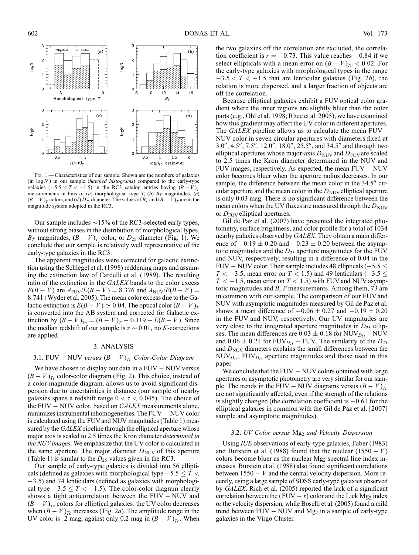

Fig. 1.—Characteristics of our sample. Shown are the numbers of galaxies (in  $log N$ ) in our sample (hatched histograms) compared to the early-type galaxies  $(-5.5 < T < -1.5)$  in the RC3 catalog entries having  $(B - V)_T$ measurements in bins of (a) morphological type T, (b)  $B_T$  magnitudes, (c)  $(B - V)_T$  colors, and (d)  $D_{25}$  diameter. The values of  $B_T$  and  $(B - V)_T$  are in the magnitude system adopted in the RC3.

Our sample includes  $\sim$ 15% of the RC3-selected early types, without strong biases in the distribution of morphological types,  $B_T$  magnitudes,  $(B - V)_T$  color, or  $D_{25}$  diameter (Fig. 1). We conclude that our sample is relatively well representative of the early-type galaxies in the RC3.

The apparent magnitudes were corrected for galactic extinction using the Schlegel et al. (1998) reddening maps and assuming the extinction law of Cardelli et al. (1989). The resulting ratio of the extinction in the GALEX bands to the color excess  $E(B - V)$  are  $A_{\text{FUV}}/E(B - V) = 8.376$  and  $A_{\text{NUV}}/E(B - V) =$ 8:741 (Wyder et al. 2005). The mean color excess due to the Galactic extinction is  $E(B - V) \simeq 0.04$ . The optical color  $(B - V)_T$ is converted into the AB system and corrected for Galactic extinction by  $(B - V)_{T_c} = (B - V)_T - 0.119 - E(B - V)$ . Since the median redshift of our sample is  $z \sim 0.01$ , no K-corrections are applied.

# 3. ANALYSIS

# 3.1. FUV – NUV versus  $(B - V)_{T_c}$  Color-Color Diagram

We have chosen to display our data in a  $FUV - NUV$  versus  $(B - V)_{T_c}$  color-color diagram (Fig. 2). This choice, instead of a color-magnitude diagram, allows us to avoid significant dispersion due to uncertainties in distance (our sample of nearby galaxies spans a redshift range  $0 < z < 0.045$ ). The choice of the FUV  $-$  NUV color, based on  $GALEX$  measurements alone, minimizes instrumental inhomogeneities. The  $FUV - NUV$  color is calculated using the FUVand NUV magnitudes (Table 1) measured by the GALEX pipeline through the elliptical aperture whose major axis is scaled to 2.5 times the Kron diameter determined in the NUVimages. We emphasize that the UV color is calculated in the same aperture. The major diameter  $D<sub>NUV</sub>$  of this aperture (Table 1) is similar to the  $D_{25}$  values given in the RC3.

Our sample of early-type galaxies is divided into 56 ellipticals (defined as galaxies with morphological type  $-5.5 \leq T$  <  $-3.5$ ) and 74 lenticulars (defined as galaxies with morphological type  $-3.5 \leq T < -1.5$ ). The color-color diagram clearly shows a tight anticorrelation between the  $FUV - NUV$  and  $(B - V)_{Tc}$  colors for elliptical galaxies: the UV color decreases when  $(B - V)_{Tc}$  increases (Fig. 2a). The amplitude range in the UV color is 2 mag, against only 0.2 mag in  $(B - V)_{T_c}$ . When

the two galaxies off the correlation are excluded, the correlation coefficient is  $r = -0.73$ . This value reaches  $-0.84$  if we select ellipticals with a mean error on  $(B - V)_{T_c} < 0.02$ . For the early-type galaxies with morphological types in the range  $-3.5 < T < -1.5$  that are lenticular galaxies (Fig. 2b), the relation is more dispersed, and a larger fraction of objects are off the correlation.

Because elliptical galaxies exhibit a FUV optical color gradient where the inner regions are slightly bluer than the outer parts (e.g., Ohl et al. 1998; Rhee et al. 2005), we have examined how this gradient may affect the UV color in different apertures. The  $GALEX$  pipeline allows us to calculate the mean  $FUV-$ NUV color in seven circular apertures with diameters fixed at  $3.0^{\prime\prime}, 4.5^{\prime\prime}, 7.5^{\prime\prime}, 12.0^{\prime\prime}, 18.0^{\prime\prime}, 25.5^{\prime\prime}$ , and  $34.5^{\prime\prime}$  and through two elliptical apertures whose major-axis  $D_{\text{NUV}}$  and  $D_{\text{FUV}}$  are scaled to 2.5 times the Kron diameter determined in the NUV and FUV images, respectively. As expected, the mean  $FUV - NUV$ color becomes bluer when the aperture radius decreases. In our sample, the difference between the mean color in the  $34.5$ <sup>"</sup> circular aperture and the mean color in the  $D_{\text{NUV}}$  elliptical aperture is only 0.03 mag. There is no significant difference between the mean colors when the UV fluxes are measured through the  $D_{\text{NUV}}$ or  $D_{\text{FUV}}$  elliptical apertures.

Gil de Paz et al. (2007) have presented the integrated photometry, surface brightness, and color profile for a total of 1034 nearby galaxies observed by GALEX. They obtain a main difference of  $-0.19 \pm 0.20$  and  $-0.23 \pm 0.20$  between the asymptotic magnitudes and the  $D_{25}$  aperture magnitudes for the FUV and NUV, respectively, resulting in a difference of 0.04 in the FUV – NUV color. Their sample includes 48 ellipticals ( $-5.5 \le$  $T < -3.5$ , mean error on  $T < 1.5$ ) and 49 lenticulars ( $-3.5 \le$  $T < -1.5$ , mean error on  $T < 1.5$ ) with FUV and NUV asymptotic magnitudes and B, V measurements. Among them, 73 are in common with our sample. The comparison of our FUV and NUV with asymptotic magnitudes measured by Gil de Paz et al. shows a mean difference of  $-0.06 \pm 0.27$  and  $-0.19 \pm 0.20$ in the FUV and NUV, respectively. Our UV magnitudes are very close to the integrated aperture magnitudes in  $D_{25}$  ellipses. The mean differences are  $0.03 \pm 0.18$  for NUV<sub>D<sub>25</sub> – NUV</sub> and  $0.06 \pm 0.21$  for FUV<sub>D<sub>25</sub> – FUV. The similarity of the D<sub>25</sub></sub> and  $D<sub>NUV</sub>$  diameters explains the small differences between the  $NUV_{D_{25}}$ ,  $FUV_{D_{25}}$  aperture magnitudes and those used in this paper.

We conclude that the  $FUV - NUV$  colors obtained with large apertures or asymptotic photometry are very similar for our sample. The trends in the FUV – NUV diagrams versus  $(B - V)_{T_c}$ are not significantly affected, even if the strength of the relations is slightly changed (the correlation coefficient is  $-0.61$  for the elliptical galaxies in common with the Gil de Paz et al. [2007] sample and asymptotic magnitudes).

### 3.2. UV Color versus  $Mg_2$  and Velocity Dispersion

Using IUE observations of early-type galaxies, Faber (1983) and Burstein et al. (1988) found that the nuclear  $(1550 - V)$ colors become bluer as the nuclear  $Mg_2$  spectral line index increases. Burstein et al. (1988) also found significant correlations between  $1550 - V$  and the central velocity dispersion. More recently, using a large sample of SDSS early-type galaxies observed by GALEX, Rich et al. (2005) reported the lack of a significant correlation between the (FUV  $- r$ ) color and the Lick Mg<sub>2</sub> index or the velocity dispersion, while Boselli et al. (2005) found a mild trend between  $FUV - NUV$  and  $Mg_2$  in a sample of early-type galaxies in the Virgo Cluster.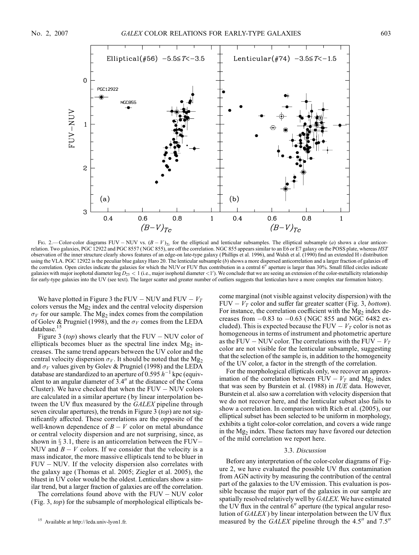

Fig. 2.—Color-color diagrams FUV – NUV vs.  $(B - V)_{T_c}$  for the elliptical and lenticular subsamples. The elliptical subsample (a) shows a clear anticorrelation. Two galaxies, PGC 12922 and PGC 8557 (NGC 855), are off the correlation. NGC 855 appears similar to an E6 or E7 galaxy on the POSS plate, whereas HST observation of the inner structure clearly shows features of an edge-on late-type galaxy ( Phillips et al. 1996), and Walsh et al. (1990) find an extended H i distribution using the VLA. PGC 12922 is the peculiar blue galaxy Haro 20. The lenticular subsample (b) shows a more dispersed anticorrelation and a larger fraction of galaxies off the correlation. Open circles indicate the galaxies for which the NUV or FUV flux contribution in a central 6" aperture is larger than 30%. Small filled circles indicate galaxies with major isophotal diameter  $log D_{25} < 1$  (i.e., major isophotal diameter  $\lt 1'$ ). We conclude that we are seeing an extension of the color-metallicity relationship for early-type galaxies into the UV (see text). The larger scatter and greater number of outliers suggests that lenticulars have a more complex star formation history.

We have plotted in Figure 3 the FUV – NUV and FUV –  $V_T$ colors versus the  $Mg_2$  index and the central velocity dispersion  $\sigma_V$  for our sample. The Mg<sub>2</sub> index comes from the compilation of Golev & Prugniel (1998), and the  $\sigma_V$  comes from the LEDA database.<sup>15</sup>

Figure 3 (top) shows clearly that the FUV – NUV color of ellipticals becomes bluer as the spectral line index  $Mg<sub>2</sub>$  increases. The same trend appears between the UV color and the central velocity dispersion  $\sigma_V$ . It should be noted that the Mg<sub>2</sub> and  $\sigma_V$  values given by Golev & Prugniel (1998) and the LEDA database are standardized to an aperture of 0.595  $h^{-1}$  kpc (equivalent to an angular diameter of  $3.4$ <sup>"</sup> at the distance of the Coma Cluster). We have checked that when the  $FUV - NUV$  colors are calculated in a similar aperture ( by linear interpolation between the UV flux measured by the GALEX pipeline through seven circular apertures), the trends in Figure 3 *(top)* are not significantly affected. These correlations are the opposite of the well-known dependence of  $B - V$  color on metal abundance or central velocity dispersion and are not surprising, since, as shown in  $\S 3.1$ , there is an anticorrelation between the FUV-NUV and  $B - V$  colors. If we consider that the velocity is a mass indicator, the more massive ellipticals tend to be bluer in  $FUV - NUV$ . If the velocity dispersion also correlates with the galaxy age (Thomas et al. 2005; Ziegler et al. 2005), the bluest in UV color would be the oldest. Lenticulars show a similar trend, but a larger fraction of galaxies are off the correlation.

The correlations found above with the  $FUV - NUV$  color ( Fig. 3, top) for the subsample of morphological ellipticals become marginal (not visible against velocity dispersion) with the FUV  $-V_T$  color and suffer far greater scatter (Fig. 3, bottom). For instance, the correlation coefficient with the  $Mg_2$  index decreases from  $-0.83$  to  $-0.63$  (NGC 855 and NGC 6482 excluded). This is expected because the FUV  $-V_T$  color is not as homogeneous in terms of instrument and photometric aperture as the FUV – NUV color. The correlations with the FUV –  $V_T$ color are not visible for the lenticular subsample, suggesting that the selection of the sample is, in addition to the homogeneity of the UV color, a factor in the strength of the correlation.

For the morphological ellipticals only, we recover an approximation of the correlation between  $FUV - V_T$  and Mg<sub>2</sub> index that was seen by Burstein et al. (1988) in IUE data. However, Burstein et al. also saw a correlation with velocity dispersion that we do not recover here, and the lenticular subset also fails to show a correlation. In comparison with Rich et al. (2005), our elliptical subset has been selected to be uniform in morphology, exhibits a tight color-color correlation, and covers a wide range in the Mg<sub>2</sub> index. These factors may have favored our detection of the mild correlation we report here.

### 3.3. Discussion

Before any interpretation of the color-color diagrams of Figure 2, we have evaluated the possible UV flux contamination from AGN activity by measuring the contribution of the central part of the galaxies to the UV emission. This evaluation is possible because the major part of the galaxies in our sample are spatially resolved relatively well by GALEX. We have estimated the UV flux in the central  $6<sup>′</sup>$  aperture (the typical angular resolution of GALEX ) by linear interpolation between the UV flux measured by the  $GALEX$  pipeline through the 4.5<sup> $\prime\prime$ </sup> and 7.5<sup> $\prime\prime$ </sup>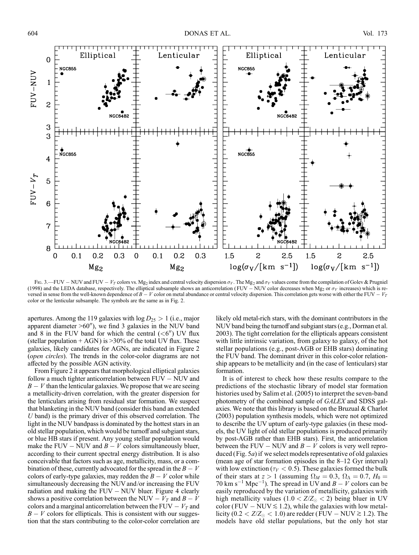

Fig. 3.—FUV – NUV and FUV –  $V_T$  colors vs. Mg<sub>2</sub> index and central velocity dispersion  $\sigma_V$ . The Mg<sub>2</sub> and  $\sigma_V$  values come from the compilation of Golev & Prugniel (1998) and the LEDA database, respectively. The elliptical subsample shows an anticorrelation (FUV – NUV color decreases when Mg<sub>2</sub> or  $\sigma_V$  increases) which is reversed in sense from the well-known dependence of  $B - V$  color on metal abundance or central velocity dispersion. This correlation gets worse with either the FUV  $-V_T$ color or the lenticular subsample. The symbols are the same as in Fig. 2.

apertures. Among the 119 galaxies with  $log D_{25} > 1$  (i.e., major apparent diameter  $>60^{\prime\prime}$ ), we find 3 galaxies in the NUV band and 8 in the FUV band for which the central  $(**6**<sup>′</sup>)$  UV flux (stellar population  $+ AGN$ ) is  $>30\%$  of the total UV flux. These galaxies, likely candidates for AGNs, are indicated in Figure 2 (open circles). The trends in the color-color diagrams are not affected by the possible AGN activity.

From Figure 2 it appears that morphological elliptical galaxies follow a much tighter anticorrelation between  $FUV - NUV$  and  $B - V$  than the lenticular galaxies. We propose that we are seeing a metallicity-driven correlation, with the greater dispersion for the lenticulars arising from residual star formation. We suspect that blanketing in the NUV band (consider this band an extended  $U$  band) is the primary driver of this observed correlation. The light in the NUV bandpass is dominated by the hottest stars in an old stellar population, which would be turnoff and subgiant stars, or blue HB stars if present. Any young stellar population would make the FUV – NUV and  $B - V$  colors simultaneously bluer, according to their current spectral energy distribution. It is also conceivable that factors such as age, metallicity, mass, or a combination of these, currently advocated for the spread in the  $B - V$ colors of early-type galaxies, may redden the  $B - V$  color while simultaneously decreasing the NUV and/or increasing the FUV radiation and making the  $FUV - NUV$  bluer. Figure 4 clearly shows a positive correlation between the NUV –  $V_T$  and  $B - V$ colors and a marginal anticorrelation between the FUV  $-V<sub>T</sub>$  and  $B - V$  colors for ellipticals. This is consistent with our suggestion that the stars contributing to the color-color correlation are

likely old metal-rich stars, with the dominant contributors in the NUV band being the turnoff and subgiant stars (e.g., Dorman et al. 2003). The tight correlation for the ellipticals appears consistent with little intrinsic variation, from galaxy to galaxy, of the hot stellar populations (e.g., post-AGB or EHB stars) dominating the FUV band. The dominant driver in this color-color relationship appears to be metallicity and (in the case of lenticulars) star formation.

It is of interest to check how these results compare to the predictions of the stochastic library of model star formation histories used by Salim et al. (2005) to interpret the seven-band photometry of the combined sample of GALEX and SDSS galaxies. We note that this library is based on the Bruzual & Charlot (2003) population synthesis models, which were not optimized to describe the UV upturn of early-type galaxies (in these models, the UV light of old stellar populations is produced primarily by post-AGB rather than EHB stars). First, the anticorrelation between the FUV – NUV and  $B - V$  colors is very well reproduced (Fig. 5a) if we select models representative of old galaxies (mean age of star formation episodes in the  $8-12$  Gyr interval) with low extinction ( $\tau_V < 0.5$ ). These galaxies formed the bulk of their stars at  $z > 1$  (assuming  $\Omega_M = 0.3$ ,  $\Omega_{\Lambda} = 0.7$ ,  $H_0 =$ 70 km s<sup>-1</sup> Mpc<sup>-1</sup>). The spread in UV and  $B - V$  colors can be easily reproduced by the variation of metallicity, galaxies with high metallicity values (1.0 <  $Z/Z_{\odot}$  < 2) being bluer in UV color (FUV – NUV  $\leq$  1.2), while the galaxies with low metallicity ( $0.2 < Z/Z_{\odot} < 1.0$ ) are redder (FUV – NUV  $\gtrsim 1.2$ ). The models have old stellar populations, but the only hot star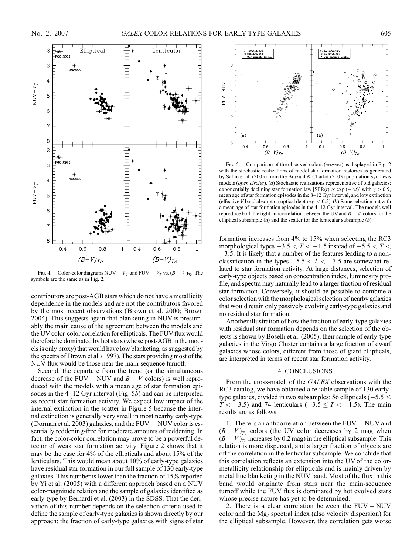

FIG. 4.—Color-color diagrams NUV –  $V_T$  and FUV –  $V_T$  vs.  $(B - V)_{T_c}$ . The symbols are the same as in Fig. 2.

contributors are post-AGB stars which do not have a metallicity dependence in the models and are not the contributors favored by the most recent observations (Brown et al. 2000; Brown 2004). This suggests again that blanketing in NUV is presumably the main cause of the agreement between the models and the UV color-color correlation for ellipticals. The FUV flux would therefore be dominated by hot stars (whose post-AGB in the models is only proxy) that would have low blanketing, as suggested by the spectra of Brown et al. (1997). The stars providing most of the NUV flux would be those near the main-sequence turnoff.

Second, the departure from the trend (or the simultaneous decrease of the FUV – NUV and  $B - V$  colors) is well reproduced with the models with a mean age of star formation episodes in the  $4-12$  Gyr interval (Fig. 5b) and can be interpreted as recent star formation activity. We expect low impact of the internal extinction in the scatter in Figure 5 because the internal extinction is generally very small in most nearby early-type (Dorman et al. 2003) galaxies, and the  $FUV - NUV$  color is essentially reddening-free for moderate amounts of reddening. In fact, the color-color correlation may prove to be a powerful detector of weak star formation activity. Figure 2 shows that it may be the case for 4% of the ellipticals and about 15% of the lenticulars. This would mean about 10% of early-type galaxies have residual star formation in our full sample of 130 early-type galaxies. This number is lower than the fraction of 15% reported by Yi et al. (2005) with a different approach based on a NUV color-magnitude relation and the sample of galaxies identified as early type by Bernardi et al. (2003) in the SDSS. That the derivation of this number depends on the selection criteria used to define the sample of early-type galaxies is shown directly by our approach; the fraction of early-type galaxies with signs of star



FIG. 5.—Comparison of the observed colors (crosses) as displayed in Fig. 2 with the stochastic realizations of model star formation histories as generated by Salim et al. (2005) from the Bruzual & Charlot (2003) population synthesis models (open circles). (a) Stochastic realizations representative of old galaxies: exponentially declining star formation law [SFR(t)  $\propto$  exp ( $-\gamma t$ )] with  $\gamma > 0.9$ , mean age of star formation episodes in the 8-12 Gyr interval, and low extinction (effective V-band absorption optical depth  $\tau_V < 0.5$ ). (b) Same selection but with a mean age of star formation episodes in the 4-12 Gyr interval. The models well reproduce both the tight anticorrelation between the UV and  $B - V$  colors for the elliptical subsample  $(a)$  and the scatter for the lenticular subsample  $(b)$ .

formation increases from 4% to 15% when selecting the RC3 morphological types  $-3.5 < T < -1.5$  instead of  $-5.5 < T <$  $-3.5$ . It is likely that a number of the features leading to a nonclassification in the types  $-5.5 < T < -3.5$  are somewhat related to star formation activity. At large distances, selection of early-type objects based on concentration index, luminosity profile, and spectra may naturally lead to a larger fraction of residual star formation. Conversely, it should be possible to combine a color selection with the morphological selection of nearby galaxies that would retain only passively evolving early-type galaxies and no residual star formation.

Another illustration of how the fraction of early-type galaxies with residual star formation depends on the selection of the objects is shown by Boselli et al. (2005); their sample of early-type galaxies in the Virgo Cluster contains a large fraction of dwarf galaxies whose colors, different from those of giant ellipticals, are interpreted in terms of recent star formation activity.

### 4. CONCLUSIONS

From the cross-match of the GALEX observations with the RC3 catalog, we have obtained a reliable sample of 130 earlytype galaxies, divided in two subsamples: 56 ellipticals ( $-5.5 \leq$  $T < -3.5$ ) and 74 lenticulars  $(-3.5 \le T < -1.5)$ . The main results are as follows:

1. There is an anticorrelation between the  $FUV - NUV$  and  $(B - V)_{Tc}$  colors (the UV color decreases by 2 mag when  $(B - V)_{Tc}$  increases by 0.2 mag) in the elliptical subsample. This relation is more dispersed, and a larger fraction of objects are off the correlation in the lenticular subsample. We conclude that this correlation reflects an extension into the UV of the colormetallicity relationship for ellipticals and is mainly driven by metal line blanketing in the NUV band. Most of the flux in this band would originate from stars near the main-sequence turnoff while the FUV flux is dominated by hot evolved stars whose precise nature has yet to be determined.

2. There is a clear correlation between the  $FUV - NUV$ color and the Mg2 spectral index (also velocity dispersion) for the elliptical subsample. However, this correlation gets worse